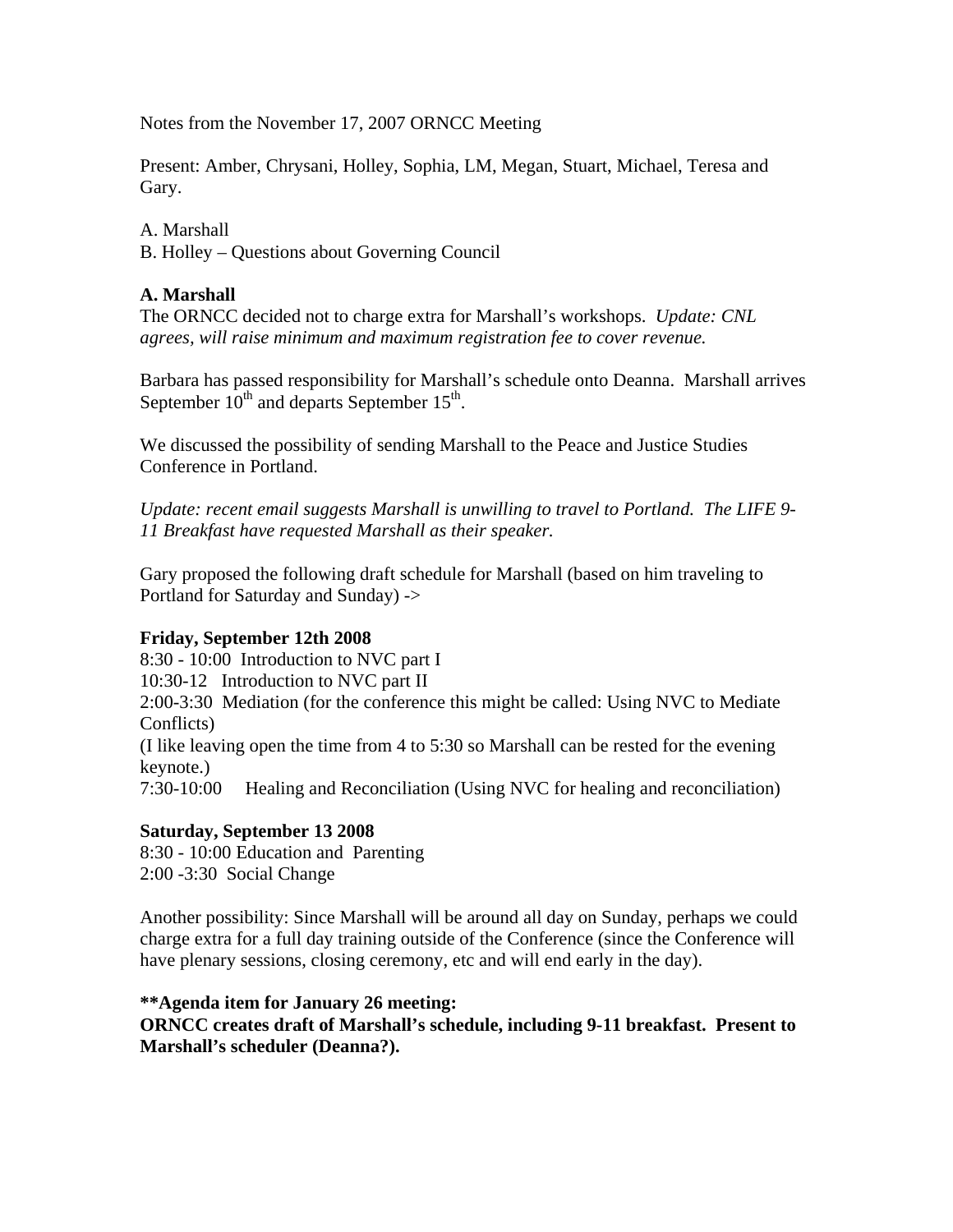Notes from the November 17, 2007 ORNCC Meeting

Present: Amber, Chrysani, Holley, Sophia, LM, Megan, Stuart, Michael, Teresa and Gary.

A. Marshall B. Holley – Questions about Governing Council

# **A. Marshall**

The ORNCC decided not to charge extra for Marshall's workshops. *Update: CNL agrees, will raise minimum and maximum registration fee to cover revenue.*

Barbara has passed responsibility for Marshall's schedule onto Deanna. Marshall arrives September  $10^{th}$  and departs September  $15^{th}$ .

We discussed the possibility of sending Marshall to the Peace and Justice Studies Conference in Portland.

*Update: recent email suggests Marshall is unwilling to travel to Portland. The LIFE 9- 11 Breakfast have requested Marshall as their speaker.* 

Gary proposed the following draft schedule for Marshall (based on him traveling to Portland for Saturday and Sunday) ->

# **Friday, September 12th 2008**

8:30 - 10:00 Introduction to NVC part I 10:30-12 Introduction to NVC part II 2:00-3:30 Mediation (for the conference this might be called: Using NVC to Mediate Conflicts) (I like leaving open the time from 4 to 5:30 so Marshall can be rested for the evening keynote.) 7:30-10:00 Healing and Reconciliation (Using NVC for healing and reconciliation)

# **Saturday, September 13 2008**

8:30 - 10:00 Education and Parenting 2:00 -3:30 Social Change

Another possibility: Since Marshall will be around all day on Sunday, perhaps we could charge extra for a full day training outside of the Conference (since the Conference will have plenary sessions, closing ceremony, etc and will end early in the day).

### **\*\*Agenda item for January 26 meeting:**

**ORNCC creates draft of Marshall's schedule, including 9-11 breakfast. Present to Marshall's scheduler (Deanna?).**